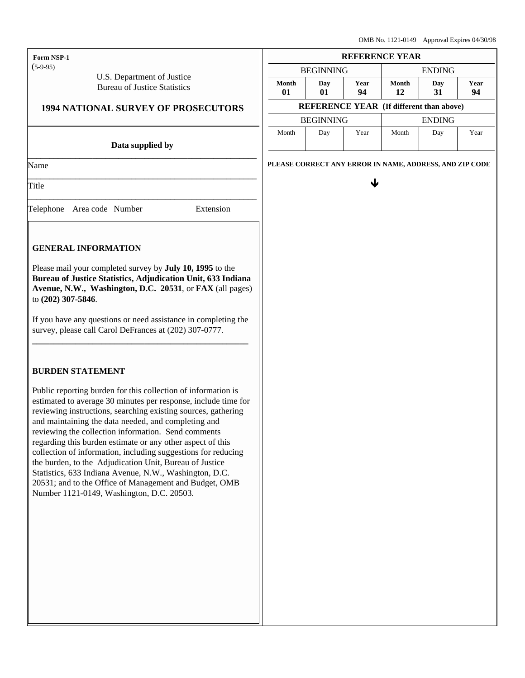| <b>Form NSP-1</b> |
|-------------------|
|                   |

(5-9-95)

 U.S. Department of Justice Bureau of Justice Statistics

## **1994 NATIONAL SURVEY OF PROSECUTORS**

#### **Data supplied by \_\_\_\_\_\_\_\_\_\_\_\_\_\_\_\_\_\_\_\_\_\_\_\_\_\_\_\_\_\_\_\_\_\_\_\_\_\_\_\_\_\_\_\_\_\_\_\_\_\_\_\_\_**

\_\_\_\_\_\_\_\_\_\_\_\_\_\_\_\_\_\_\_\_\_\_\_\_\_\_\_\_\_\_\_\_\_\_\_\_\_\_\_\_\_\_\_\_\_\_\_\_\_\_\_\_\_

\_\_\_\_\_\_\_\_\_\_\_\_\_\_\_\_\_\_\_\_\_\_\_\_\_\_\_\_\_\_\_\_\_\_\_\_\_\_\_\_\_\_\_\_\_\_\_\_\_\_\_\_\_

Name

Title

Telephone | Area code | Number | Extension

j.

## **GENERAL INFORMATION**

Please mail your completed survey by **July 10, 1995** to the **Bureau of Justice Statistics, Adjudication Unit, 633 Indiana Avenue, N.W., Washington, D.C. 20531**, or **FAX** (all pages) to **(202) 307-5846**.

If you have any questions or need assistance in completing the survey, please call Carol DeFrances at (202) 307-0777. **\_\_\_\_\_\_\_\_\_\_\_\_\_\_\_\_\_\_\_\_\_\_\_\_\_\_\_\_\_\_\_\_\_\_\_\_\_\_\_\_\_\_\_\_\_\_\_\_\_\_**

### **BURDEN STATEMENT**

Public reporting burden for this collection of information is estimated to average 30 minutes per response, include time for reviewing instructions, searching existing sources, gathering and maintaining the data needed, and completing and reviewing the collection information. Send comments regarding this burden estimate or any other aspect of this collection of information, including suggestions for reducing the burden, to the Adjudication Unit, Bureau of Justice Statistics, 633 Indiana Avenue, N.W., Washington, D.C. 20531; and to the Office of Management and Budget, OMB Number 1121-0149, Washington, D.C. 20503.

|                                                 | <b>REFERENCE YEAR</b> |            |                                        |     |      |
|-------------------------------------------------|-----------------------|------------|----------------------------------------|-----|------|
| <b>ENDING</b><br><b>BEGINNING</b>               |                       |            |                                        |     |      |
| Month<br>01                                     | Day<br>01             | Year<br>94 | Month<br>Year<br>Day<br>31<br>94<br>12 |     |      |
| <b>REFERENCE YEAR (If different than above)</b> |                       |            |                                        |     |      |
| <b>BEGINNING</b><br><b>ENDING</b>               |                       |            |                                        |     |      |
| Month                                           | Day                   | Year       | Month                                  | Day | Year |

**PLEASE CORRECT ANY ERROR IN NAME, ADDRESS, AND ZIP CODE**

ê de la provincia de la provincia de la provincia de la provincia de la provincia de la provincia de la provincia d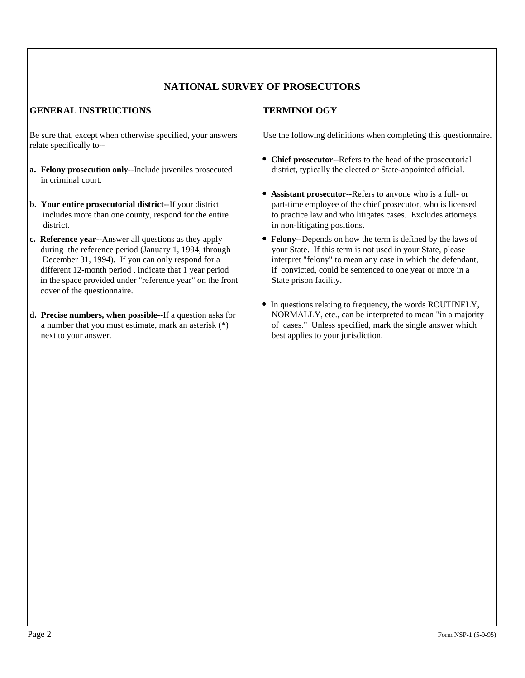# **NATIONAL SURVEY OF PROSECUTORS**

# **GENERAL INSTRUCTIONS TERMINOLOGY**

Be sure that, except when otherwise specified, your answers relate specifically to--

- **a. Felony prosecution only-**-Include juveniles prosecuted in criminal court.
- **b. Your entire prosecutorial district-**-If your district includes more than one county, respond for the entire district.
- **c. Reference year-**-Answer all questions as they apply during the reference period (January 1, 1994, through December 31, 1994). If you can only respond for a different 12-month period , indicate that 1 year period in the space provided under "reference year" on the front cover of the questionnaire.
- **d. Precise numbers, when possible-**-If a question asks for a number that you must estimate, mark an asterisk (\*) next to your answer.

Use the following definitions when completing this questionnaire.

- **Chief prosecutor-**-Refers to the head of the prosecutorial district, typically the elected or State-appointed official.
- **Assistant prosecutor--**Refers to anyone who is a full- or part-time employee of the chief prosecutor, who is licensed to practice law and who litigates cases. Excludes attorneys in non-litigating positions.
- **Felony-**-Depends on how the term is defined by the laws of your State. If this term is not used in your State, please interpret "felony" to mean any case in which the defendant, if convicted, could be sentenced to one year or more in a State prison facility.
- In questions relating to frequency, the words ROUTINELY, NORMALLY, etc., can be interpreted to mean "in a majority of cases." Unless specified, mark the single answer which best applies to your jurisdiction.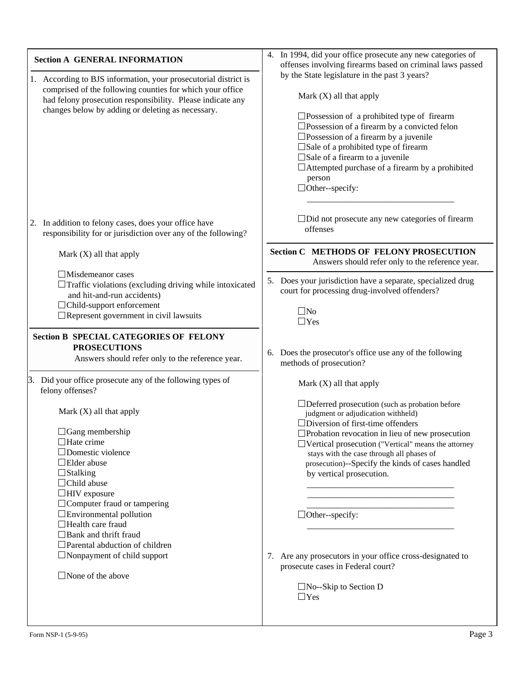| <b>Section A GENERAL INFORMATION</b><br>1. According to BJS information, your prosecutorial district is<br>comprised of the following counties for which your office<br>had felony prosecution responsibility. Please indicate any<br>changes below by adding or deleting as necessary.                                                                                                                                                   | 4. In 1994, did your office prosecute any new categories of<br>offenses involving firearms based on criminal laws passed<br>by the State legislature in the past 3 years?<br>Mark $(X)$ all that apply<br>$\square$ Possession of a prohibited type of firearm<br>$\square$ Possession of a firearm by a convicted felon<br>$\square$ Possession of a firearm by a juvenile<br>□Sale of a prohibited type of firearm<br>$\square$ Sale of a firearm to a juvenile<br>$\Box$ Attempted purchase of a firearm by a prohibited<br>person<br>$\Box$ Other--specify:        |
|-------------------------------------------------------------------------------------------------------------------------------------------------------------------------------------------------------------------------------------------------------------------------------------------------------------------------------------------------------------------------------------------------------------------------------------------|------------------------------------------------------------------------------------------------------------------------------------------------------------------------------------------------------------------------------------------------------------------------------------------------------------------------------------------------------------------------------------------------------------------------------------------------------------------------------------------------------------------------------------------------------------------------|
| 2. In addition to felony cases, does your office have<br>responsibility for or jurisdiction over any of the following?                                                                                                                                                                                                                                                                                                                    | $\Box$ Did not prosecute any new categories of firearm<br>offenses                                                                                                                                                                                                                                                                                                                                                                                                                                                                                                     |
| Mark $(X)$ all that apply                                                                                                                                                                                                                                                                                                                                                                                                                 | <b>Section C METHODS OF FELONY PROSECUTION</b><br>Answers should refer only to the reference year.                                                                                                                                                                                                                                                                                                                                                                                                                                                                     |
| $\Box$ Misdemeanor cases<br>$\Box$ Traffic violations (excluding driving while intoxicated<br>and hit-and-run accidents)<br>$\Box$ Child-support enforcement<br>$\Box$ Represent government in civil lawsuits                                                                                                                                                                                                                             | 5. Does your jurisdiction have a separate, specialized drug<br>court for processing drug-involved offenders?<br>$\square$ No<br>$\Box$ Yes                                                                                                                                                                                                                                                                                                                                                                                                                             |
| <b>Section B SPECIAL CATEGORIES OF FELONY</b><br><b>PROSECUTIONS</b><br>Answers should refer only to the reference year.                                                                                                                                                                                                                                                                                                                  | 6. Does the prosecutor's office use any of the following<br>methods of prosecution?                                                                                                                                                                                                                                                                                                                                                                                                                                                                                    |
| 3. Did your office prosecute any of the following types of<br>felony offenses?                                                                                                                                                                                                                                                                                                                                                            | Mark $(X)$ all that apply                                                                                                                                                                                                                                                                                                                                                                                                                                                                                                                                              |
| Mark $(X)$ all that apply<br>$\Box$ Gang membership<br>$\Box$ Hate crime<br>$\Box$ Domestic violence<br>$\Box$ Elder abuse<br>$\Box$ Stalking<br>$\Box$ Child abuse<br>$\Box$ HIV exposure<br>$\Box$ Computer fraud or tampering<br>$\Box$ Environmental pollution<br>$\Box$ Health care fraud<br>$\Box$ Bank and thrift fraud<br>$\Box$ Parental abduction of children<br>$\Box$ Nonpayment of child support<br>$\Box$ None of the above | $\Box$ Deferred prosecution (such as probation before<br>judgment or adjudication withheld)<br>$\Box$ Diversion of first-time offenders<br>$\Box$ Probation revocation in lieu of new prosecution<br>$\Box$ Vertical prosecution ("Vertical" means the attorney<br>stays with the case through all phases of<br>prosecution)--Specify the kinds of cases handled<br>by vertical prosecution.<br>$\Box$ Other--specify:<br>7. Are any prosecutors in your office cross-designated to<br>prosecute cases in Federal court?<br>$\Box$ No--Skip to Section D<br>$\Box$ Yes |

l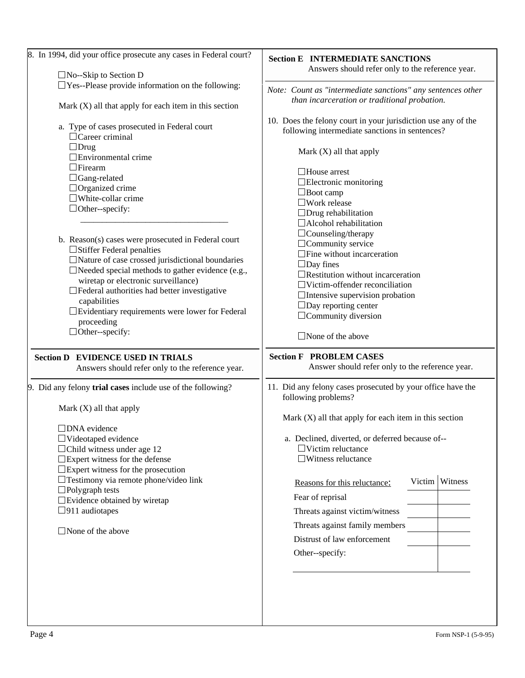| 8. In 1994, did your office prosecute any cases in Federal court?                       | <b>Section E INTERMEDIATE SANCTIONS</b>                                                                         |  |
|-----------------------------------------------------------------------------------------|-----------------------------------------------------------------------------------------------------------------|--|
| $\Box$ No--Skip to Section D                                                            | Answers should refer only to the reference year.                                                                |  |
| $\Box$<br>Yes--Please provide information on the following:                             | Note: Count as "intermediate sanctions" any sentences other                                                     |  |
| Mark $(X)$ all that apply for each item in this section                                 | than incarceration or traditional probation.                                                                    |  |
| a. Type of cases prosecuted in Federal court<br>$\Box$ Career criminal                  | 10. Does the felony court in your jurisdiction use any of the<br>following intermediate sanctions in sentences? |  |
| $\Box$ Drug<br>$\Box$ Environmental crime                                               | Mark $(X)$ all that apply                                                                                       |  |
| $\Box$ Firearm                                                                          | $\Box$ House arrest                                                                                             |  |
| $\Box$ Gang-related                                                                     | $\Box$ Electronic monitoring                                                                                    |  |
| $\Box$ Organized crime                                                                  | $\Box$ Boot camp                                                                                                |  |
| $\Box$ White-collar crime                                                               | $\square$ Work release                                                                                          |  |
| $\Box$ Other--specify:                                                                  | $\Box$ Drug rehabilitation                                                                                      |  |
|                                                                                         | $\Box$ Alcohol rehabilitation                                                                                   |  |
| b. Reason(s) cases were prosecuted in Federal court                                     | $\Box$ Counseling/therapy                                                                                       |  |
| □Stiffer Federal penalties                                                              | $\Box$ Community service                                                                                        |  |
| $\Box$ Nature of case crossed jurisdictional boundaries                                 | $\Box$ Fine without incarceration                                                                               |  |
| $\Box$ Needed special methods to gather evidence (e.g.,                                 | $\Box$ Day fines                                                                                                |  |
| wiretap or electronic surveillance)                                                     | $\Box$ Restitution without incarceration                                                                        |  |
| $\Box$ Federal authorities had better investigative                                     | $\Box$ Victim-offender reconciliation                                                                           |  |
| capabilities                                                                            | $\Box$ Intensive supervision probation<br>$\Box$ Day reporting center                                           |  |
| $\square$ Evidentiary requirements were lower for Federal                               | $\Box$ Community diversion                                                                                      |  |
| proceeding                                                                              |                                                                                                                 |  |
| $\Box$ Other--specify:                                                                  | $\Box$ None of the above                                                                                        |  |
| <b>Section D EVIDENCE USED IN TRIALS</b>                                                | <b>Section F PROBLEM CASES</b>                                                                                  |  |
| Answers should refer only to the reference year.                                        | Answer should refer only to the reference year.                                                                 |  |
| 9. Did any felony trial cases include use of the following?                             | 11. Did any felony cases prosecuted by your office have the<br>following problems?                              |  |
| Mark $(X)$ all that apply                                                               | Mark $(X)$ all that apply for each item in this section                                                         |  |
| $\square$ DNA evidence                                                                  |                                                                                                                 |  |
| $\Box$ Videotaped evidence                                                              | a. Declined, diverted, or deferred because of--                                                                 |  |
| $\Box$ Child witness under age 12                                                       | $\Box$ Victim reluctance                                                                                        |  |
| $\square$ Expert witness for the defense                                                | $\Box$ Witness reluctance                                                                                       |  |
| $\square$ Expert witness for the prosecution<br>□ Testimony via remote phone/video link | Victim Witness<br>Reasons for this reluctance:                                                                  |  |
| $\Box$ Polygraph tests<br>$\square$ Evidence obtained by wiretap                        | Fear of reprisal                                                                                                |  |
| $\Box$ 911 audiotapes                                                                   | Threats against victim/witness                                                                                  |  |
| $\Box$ None of the above                                                                | Threats against family members                                                                                  |  |
|                                                                                         | Distrust of law enforcement                                                                                     |  |
|                                                                                         | Other--specify:                                                                                                 |  |
|                                                                                         |                                                                                                                 |  |
|                                                                                         |                                                                                                                 |  |
|                                                                                         |                                                                                                                 |  |
|                                                                                         |                                                                                                                 |  |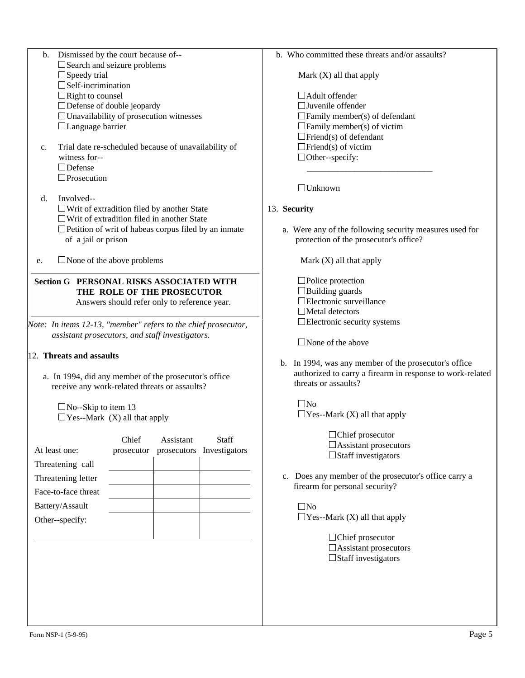Unavailability of prosecution witnesses Language barrier c. Trial date re-scheduled because of unavailability of witness for-- Defense **Prosecution**  d. Involved--  $\Box$  Writ of extradition filed by another State  $\Box$ Writ of extradition filed in another State  $\Box$  Petition of writ of habeas corpus filed by an inmate of a jail or prison e. None of the above problems *Note: In items 12-13, "member" refers to the chief prosecutor, assistant prosecutors, and staff investigators.*  12. **Threats and assaults** a. In 1994, did any member of the prosecutor's office receive any work-related threats or assaults?  $\Box$ No--Skip to item 13  $\Box$  Yes--Mark (X) all that apply At least one: Chief prosecutor Assistant prosecutors Investigators **Staff** Threatening call Threatening letter Face-to-face threat Battery/Assault Other--specify:  $\overline{\phantom{a}}$  , and the contract of the contract of the contract of the contract of the contract of the contract of the contract of the contract of the contract of the contract of the contract of the contract of the contrac 13. **Security**  $\Box$ No  $\Box$ No Form NSP-1 (5-9-95) Page 5 **Section G PERSONAL RISKS ASSOCIATED WITH THE ROLE OF THE PROSECUTOR**  Answers should refer only to reference year.

 b. Dismissed by the court because of-- Search and seizure problems

Defense of double jeopardy

 $\Box$ Speedy trial  $\square$  Self-incrimination  $\Box$ Right to counsel

b. Who committed these threats and/or assaults?

Mark (X) all that apply

Adult offender Juvenile offender  $\Box$  Family member(s) of defendant  $\Box$  Family member(s) of victim  $\Box$ Friend(s) of defendant  $\Box$ Friend(s) of victim □Other--specify:

Unknown

 a. Were any of the following security measures used for protection of the prosecutor's office?

Mark (X) all that apply

□Police protection  $\Box$ Building guards Electronic surveillance □Metal detectors Electronic security systems

None of the above

 b. In 1994, was any member of the prosecutor's office authorized to carry a firearm in response to work-related threats or assaults?

 $\Box$ Yes--Mark (X) all that apply

□Chief prosecutor Assistant prosecutors  $\Box$ Staff investigators

 c. Does any member of the prosecutor's office carry a firearm for personal security?

 $\Box$  Yes--Mark (X) all that apply

□Chief prosecutor Assistant prosecutors  $\Box$ Staff investigators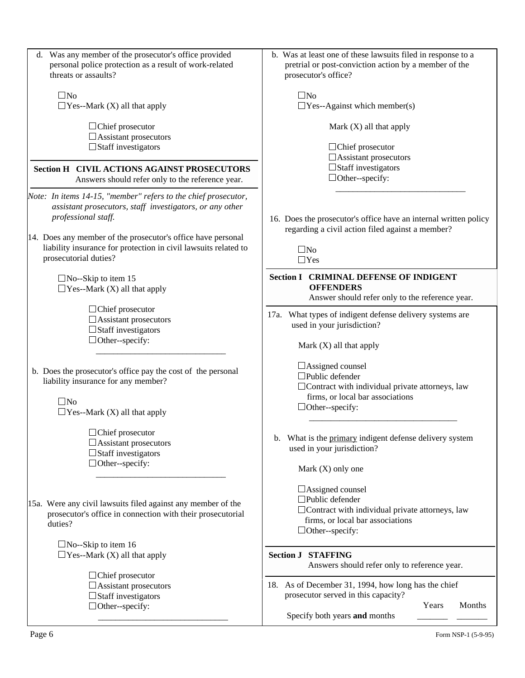| d. Was any member of the prosecutor's office provided                                                                                                                                                                                                                                                         | b. Was at least one of these lawsuits filed in response to a                                                                                                              |  |  |
|---------------------------------------------------------------------------------------------------------------------------------------------------------------------------------------------------------------------------------------------------------------------------------------------------------------|---------------------------------------------------------------------------------------------------------------------------------------------------------------------------|--|--|
| personal police protection as a result of work-related<br>threats or assaults?                                                                                                                                                                                                                                | pretrial or post-conviction action by a member of the<br>prosecutor's office?                                                                                             |  |  |
| $\square$ No<br>$\Box$ Yes--Mark (X) all that apply                                                                                                                                                                                                                                                           | $\square$ No<br>$\Box$ Yes--Against which member(s)                                                                                                                       |  |  |
| $\Box$ Chief prosecutor<br>$\Box$ Assistant prosecutors<br>$\Box$ Staff investigators                                                                                                                                                                                                                         | Mark $(X)$ all that apply<br>$\Box$ Chief prosecutor                                                                                                                      |  |  |
| <b>Section H CIVIL ACTIONS AGAINST PROSECUTORS</b><br>Answers should refer only to the reference year.                                                                                                                                                                                                        | $\Box$ Assistant prosecutors<br>$\Box$ Staff investigators<br>$\Box$ Other--specify:                                                                                      |  |  |
| Note: In items 14-15, "member" refers to the chief prosecutor,<br>assistant prosecutors, staff investigators, or any other<br>professional staff.<br>14. Does any member of the prosecutor's office have personal<br>liability insurance for protection in civil lawsuits related to<br>prosecutorial duties? | 16. Does the prosecutor's office have an internal written policy<br>regarding a civil action filed against a member?<br>$\square$ No<br>$\Box$ Yes                        |  |  |
| $\Box$ No--Skip to item 15<br>$\Box$ Yes--Mark (X) all that apply                                                                                                                                                                                                                                             | <b>Section I CRIMINAL DEFENSE OF INDIGENT</b><br><b>OFFENDERS</b><br>Answer should refer only to the reference year.                                                      |  |  |
| $\Box$ Chief prosecutor<br>$\Box$ Assistant prosecutors<br>$\Box$ Staff investigators<br>$\Box$ Other--specify:                                                                                                                                                                                               | 17a. What types of indigent defense delivery systems are<br>used in your jurisdiction?<br>Mark $(X)$ all that apply                                                       |  |  |
| b. Does the prosecutor's office pay the cost of the personal<br>liability insurance for any member?<br>$\square$ No<br>$\Box$ Yes--Mark (X) all that apply                                                                                                                                                    | $\Box$ Assigned counsel<br>$\Box$ Public defender<br>$\Box$ Contract with individual private attorneys, law<br>firms, or local bar associations<br>$\Box$ Other--specify: |  |  |
| $\Box$ Chief prosecutor<br>$\Box$ Assistant prosecutors<br>$\Box$ Staff investigators<br>$\Box$ Other--specify:                                                                                                                                                                                               | b. What is the primary indigent defense delivery system<br>used in your jurisdiction?<br>Mark $(X)$ only one                                                              |  |  |
| 15a. Were any civil lawsuits filed against any member of the<br>prosecutor's office in connection with their prosecutorial<br>duties?                                                                                                                                                                         | □ Assigned counsel<br>$\Box$ Public defender<br>$\Box$ Contract with individual private attorneys, law<br>firms, or local bar associations<br>$\Box$ Other--specify:      |  |  |
| $\Box$ No--Skip to item 16<br>$\Box$ Yes--Mark (X) all that apply                                                                                                                                                                                                                                             | <b>Section J STAFFING</b><br>Answers should refer only to reference year.                                                                                                 |  |  |
| $\Box$ Chief prosecutor<br>$\Box$ Assistant prosecutors<br>$\Box$ Staff investigators<br>$\Box$ Other--specify:                                                                                                                                                                                               | 18. As of December 31, 1994, how long has the chief<br>prosecutor served in this capacity?<br>Years<br>Months<br>Specify both years and months                            |  |  |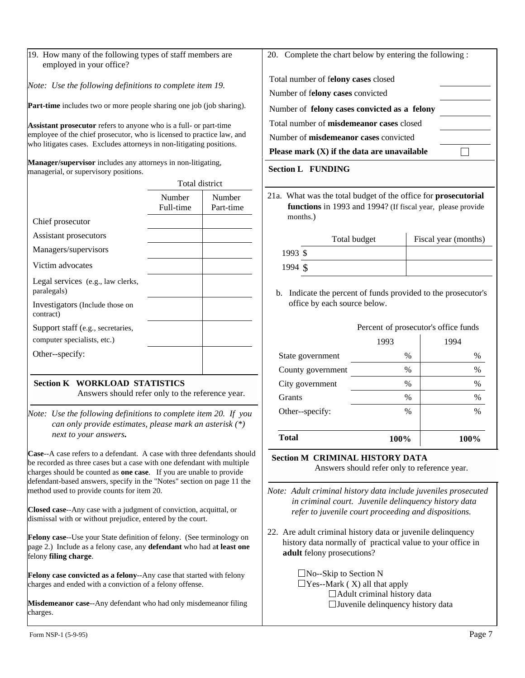*Note: Use the following definitions to complete item 19.* 

**Part-time** includes two or more people sharing one job (job sharing).

**Assistant prosecutor** refers to anyone who is a full- or part-time employee of the chief prosecutor, who is licensed to practice law, and who litigates cases. Excludes attorneys in non-litigating positions.

**Manager/supervisor** includes any attorneys in non-litigating, managerial, or supervisory positions.

|                                                                  | <b>Total district</b> |                     |
|------------------------------------------------------------------|-----------------------|---------------------|
|                                                                  | Number<br>Full-time   | Number<br>Part-time |
| Chief prosecutor                                                 |                       |                     |
| Assistant prosecutors                                            |                       |                     |
| Managers/supervisors                                             |                       |                     |
| Victim advocates                                                 |                       |                     |
| Legal services (e.g., law clerks,<br>paralegals)                 |                       |                     |
| Investigators (Include those on<br>contract)                     |                       |                     |
| Support staff (e.g., secretaries,<br>computer specialists, etc.) |                       |                     |
| Other-specify:                                                   |                       |                     |
|                                                                  |                       |                     |

# **Section K WORKLOAD STATISTICS**

Answers should refer only to the reference year.

*Note: Use the following definitions to complete item 20. If you can only provide estimates, please mark an asterisk (\*) next to your answers***.**

**Case**--A case refers to a defendant. A case with three defendants should be recorded as three cases but a case with one defendant with multiple charges should be counted as **one case**. If you are unable to provide defendant-based answers, specify in the "Notes" section on page 11 the method used to provide counts for item 20.

**Closed case**--Any case with a judgment of conviction, acquittal, or dismissal with or without prejudice, entered by the court.

**Felony case**--Use your State definition of felony. (See terminology on page 2.) Include as a felony case, any **defendant** who had a**t least one** felony **filing charge**.

**Felony case convicted as a felony**--Any case that started with felony charges and ended with a conviction of a felony offense.

**Misdemeanor case**--Any defendant who had only misdemeanor filing charges.

20. Complete the chart below by entering the following :

Total number of f**elony cases** closed

Number of f**elony cases** convicted

Number of **felony cases convicted as a felony**

Total number of **misdemeanor cases** closed

Number of **misdemeanor cases** convicted

**Please mark (X) if the data are unavailable**

#### **Section L FUNDING**

21a. What was the total budget of the office for **prosecutorial functions** in 1993 and 1994? (If fiscal year, please provide months.)

|           | Total budget | Fiscal year (months) |
|-----------|--------------|----------------------|
| $1993$ \$ |              |                      |
| 1994 \$   |              |                      |

 $\Box$ 

 b. Indicate the percent of funds provided to the prosecutor's office by each source below.

|                   | Percent of prosecutor's office funds |               |  |
|-------------------|--------------------------------------|---------------|--|
|                   | 1993                                 | 1994          |  |
| State government  | $\%$                                 | $\%$          |  |
| County government | $\%$                                 | $\%$          |  |
| City government   | $\%$                                 | $\%$          |  |
| Grants            | $\%$                                 | $\%$          |  |
| Other--specify:   | $\%$                                 | $\frac{0}{0}$ |  |

**Section M CRIMINAL HISTORY DATA**

Answers should refer only to reference year.

*Note: Adult criminal history data include juveniles prosecuted in criminal court. Juvenile delinquency history data refer to juvenile court proceeding and dispositions.*

**Total 100% 100%** 

22. Are adult criminal history data or juvenile delinquency history data normally of practical value to your office in  **adult** felony prosecutions?

> $\Box$ No--Skip to Section N  $\Box$  Yes--Mark (X) all that apply Adult criminal history data  $\Box$  Juvenile delinquency history data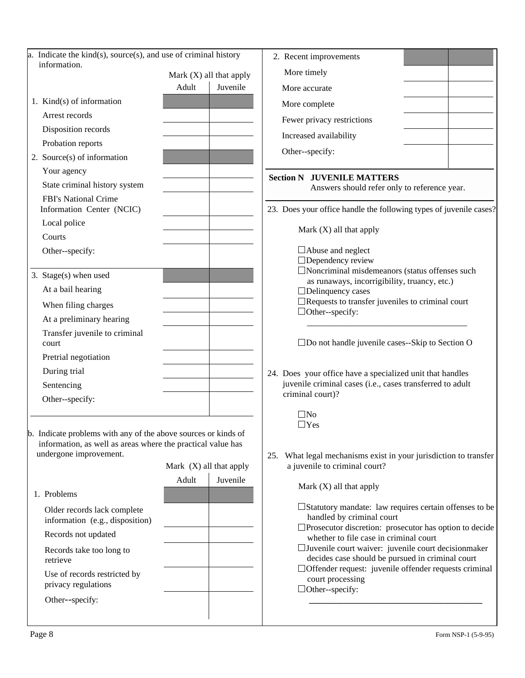| a. Indicate the kind(s), source(s), and use of criminal history                                                                                         |                           |          |
|---------------------------------------------------------------------------------------------------------------------------------------------------------|---------------------------|----------|
| information.                                                                                                                                            | Mark $(X)$ all that apply |          |
|                                                                                                                                                         | Adult                     | Juvenile |
| 1. Kind $(s)$ of information                                                                                                                            |                           |          |
| Arrest records                                                                                                                                          |                           |          |
| Disposition records                                                                                                                                     |                           |          |
| Probation reports                                                                                                                                       |                           |          |
| 2. Source(s) of information                                                                                                                             |                           |          |
| Your agency                                                                                                                                             |                           |          |
| State criminal history system                                                                                                                           |                           |          |
| <b>FBI's National Crime</b><br>Information Center (NCIC)                                                                                                |                           |          |
| Local police                                                                                                                                            |                           |          |
| Courts                                                                                                                                                  |                           |          |
| Other--specify:                                                                                                                                         |                           |          |
| 3. Stage(s) when used                                                                                                                                   |                           |          |
| At a bail hearing                                                                                                                                       |                           |          |
| When filing charges                                                                                                                                     |                           |          |
| At a preliminary hearing                                                                                                                                |                           |          |
| Transfer juvenile to criminal<br>court                                                                                                                  |                           |          |
| Pretrial negotiation                                                                                                                                    |                           |          |
| During trial                                                                                                                                            |                           |          |
| Sentencing                                                                                                                                              |                           |          |
| Other--specify:                                                                                                                                         |                           |          |
| b. Indicate problems with any of the above sources or kinds of<br>information, as well as areas where the practical value has<br>undergone improvement. | Mark $(X)$ all that apply |          |
|                                                                                                                                                         | Adult                     | Juvenile |
| 1. Problems                                                                                                                                             |                           |          |
| Older records lack complete<br>information (e.g., disposition)                                                                                          |                           |          |
| Records not updated                                                                                                                                     |                           |          |
|                                                                                                                                                         |                           |          |
| Records take too long to<br>retrieve                                                                                                                    |                           |          |
| Use of records restricted by<br>privacy regulations                                                                                                     |                           |          |
| Other--specify:                                                                                                                                         |                           |          |
|                                                                                                                                                         |                           |          |

| 2. Recent improvements              |  |
|-------------------------------------|--|
| More timely                         |  |
| More accurate                       |  |
| More complete                       |  |
| Fewer privacy restrictions          |  |
| Increased availability              |  |
| Other--specify:                     |  |
| <b>Section N - JUVENILE MATTERS</b> |  |

Answers should refer only to reference year.

23. Does your office handle the following types of juvenile cases?

Mark (X) all that apply

Abuse and neglect □Dependency review Noncriminal misdemeanors (status offenses such as runaways, incorrigibility, truancy, etc.) Delinquency cases Requests to transfer juveniles to criminal court □Other--specify:

Do not handle juvenile cases--Skip to Section O

\_\_\_\_\_\_\_\_\_\_\_\_\_\_\_\_\_\_\_\_\_\_\_\_\_\_\_\_\_\_\_\_\_\_\_\_\_

- 24. Does your office have a specialized unit that handles juvenile criminal cases (i.e., cases transferred to adult criminal court)?
	- $\square$ No Yes
- 25. What legal mechanisms exist in your jurisdiction to transfer a juvenile to criminal court?

Mark (X) all that apply

□ Statutory mandate: law requires certain offenses to be handled by criminal court

- □Prosecutor discretion: prosecutor has option to decide whether to file case in criminal court
- Juvenile court waiver: juvenile court decisionmaker decides case should be pursued in criminal court
- Offender request: juvenile offender requests criminal court processing

 **\_\_\_\_\_\_\_\_\_\_\_\_\_\_\_\_\_\_\_\_\_\_\_\_\_\_\_\_\_\_\_\_\_\_\_\_\_\_\_\_**

Other--specify: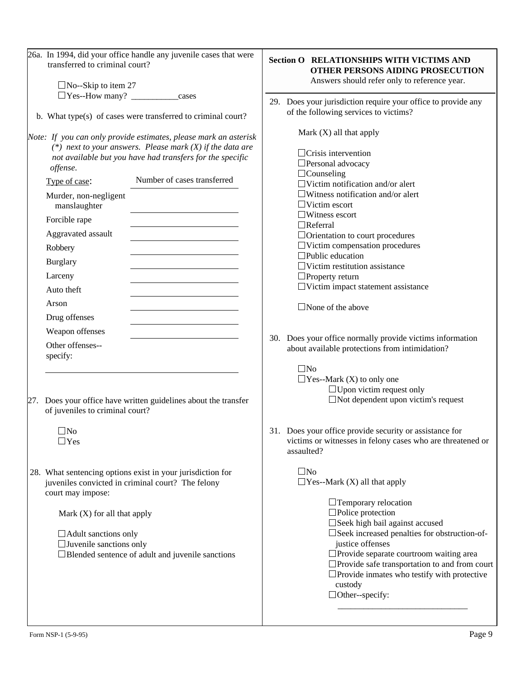| 26a. In 1994, did your office handle any juvenile cases that were<br>transferred to criminal court?                                                                                                                                                                                                                                                                                                      | <b>Section O REL</b><br><b>OTF</b>                                                                                                                                                                                                                                      |
|----------------------------------------------------------------------------------------------------------------------------------------------------------------------------------------------------------------------------------------------------------------------------------------------------------------------------------------------------------------------------------------------------------|-------------------------------------------------------------------------------------------------------------------------------------------------------------------------------------------------------------------------------------------------------------------------|
| $\Box$ No--Skip to item 27                                                                                                                                                                                                                                                                                                                                                                               | Ansv                                                                                                                                                                                                                                                                    |
| $\Box$ Yes--How many? _________________cases<br>b. What type(s) of cases were transferred to criminal court?                                                                                                                                                                                                                                                                                             | 29. Does your j<br>of the follow                                                                                                                                                                                                                                        |
| Note: If you can only provide estimates, please mark an asterisk<br>(*) next to your answers. Please mark $(X)$ if the data are<br>not available but you have had transfers for the specific<br>offense.<br>Number of cases transferred<br>Type of case:<br>Murder, non-negligent<br>manslaughter<br>Forcible rape<br>Aggravated assault<br>Robbery<br><b>Burglary</b><br>Larceny<br>Auto theft<br>Arson | Mark $(X)$<br>$\Box$ Crisis<br>$\Box$ Persor<br>$\Box$ Couns<br>$\Box$ Victin<br>$\Box$ Witne<br>$\Box$ Victin<br>$\Box$ Witne<br>$\Box$ Referr<br>$\Box$ Orient<br>$\Box$ Victin<br>$\square$ Public<br>$\Box$ Victin<br>$\Box$ Proper<br>$\Box$ Victin<br>$\Box$ None |
| Drug offenses<br><u> 1989 - Johann Barbara, martin amerikan basar da</u><br>Weapon offenses<br>Other offenses--<br>specify:                                                                                                                                                                                                                                                                              | 30.<br>Does your o<br>about availa<br>$\square$ No                                                                                                                                                                                                                      |
| Does your office have written guidelines about the transfer<br>27.<br>of juveniles to criminal court?<br>$\mathsf{No}$<br>$\Box$ Yes                                                                                                                                                                                                                                                                     | $\Box$ Yes--I<br>31.<br>Does your o<br>victims or v<br>assaulted?                                                                                                                                                                                                       |
| 28. What sentencing options exist in your jurisdiction for<br>juveniles convicted in criminal court? The felony<br>court may impose:<br>Mark $(X)$ for all that apply<br>$\Box$ Adult sanctions only<br>$\Box$ Juvenile sanctions only<br>□Blended sentence of adult and juvenile sanctions                                                                                                              | $\square$ No<br>$\Box$ Yes--I                                                                                                                                                                                                                                           |

# **SECTIONSHIPS WITH VICTIMS AND HER PERSONS AIDING PROSECUTION** wers should refer only to reference year.

urisdiction require your office to provide any wing services to victims?

 $\lambda$ ) all that apply

intervention nal advocacy seling n notification and/or alert ess notification and/or alert n escort ess escort ral tation to court procedures n compensation procedures education n restitution assistance rty return n impact statement assistance

of the above

office normally provide victims information able protections from intimidation?

> Mark  $(X)$  to only one  $\Box$  Upon victim request only Not dependent upon victim's request

office provide security or assistance for witnesses in felony cases who are threatened or

# Mark  $(X)$  all that apply

| $\Box$ Temporary relocation<br>$\Box$ Police protection       |
|---------------------------------------------------------------|
| $\Box$ Seek high bail against accused                         |
| $\square$ Seek increased penalties for obstruction-of-        |
| justice offenses                                              |
| $\Box$ Provide separate courtroom waiting area                |
| $\Box$ Provide safe transportation to and from court          |
| $\Box$ Provide inmates who testify with protective<br>custody |
| $\Box$ Other--specify:                                        |
|                                                               |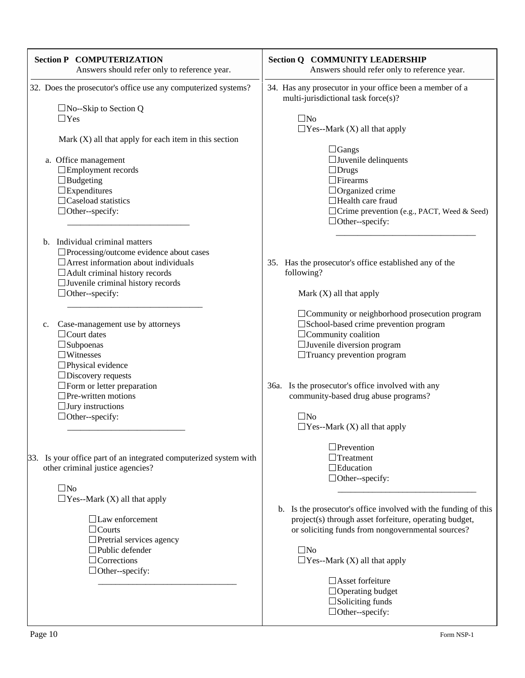| <b>Section P COMPUTERIZATION</b><br>Answers should refer only to reference year.                                                                                                                                                                                                                                                   | <b>Section Q COMMUNITY LEADERSHIP</b><br>Answers should refer only to reference year.                                                                                                                                                                                                                                                                                                                                                 |
|------------------------------------------------------------------------------------------------------------------------------------------------------------------------------------------------------------------------------------------------------------------------------------------------------------------------------------|---------------------------------------------------------------------------------------------------------------------------------------------------------------------------------------------------------------------------------------------------------------------------------------------------------------------------------------------------------------------------------------------------------------------------------------|
| 32. Does the prosecutor's office use any computerized systems?<br>$\Box$ No--Skip to Section Q<br>$\Box$ Yes<br>Mark $(X)$ all that apply for each item in this section<br>a. Office management<br>$\Box$ Employment records<br>$\Box$ Budgeting<br>$\square$ Expenditures<br>$\Box$ Caseload statistics<br>$\Box$ Other--specify: | 34. Has any prosecutor in your office been a member of a<br>multi-jurisdictional task force(s)?<br>$\square$ No<br>$\Box$ Yes--Mark (X) all that apply<br>$\Box$ Gangs<br>$\Box$ Juvenile delinquents<br>$\Box$ Drugs<br>$\Box$ Firearms<br>$\Box$ Organized crime<br>$\Box$ Health care fraud<br>$\Box$ Crime prevention (e.g., PACT, Weed & Seed)                                                                                   |
| b. Individual criminal matters<br>$\Box$ Processing/outcome evidence about cases<br>$\Box$ Arrest information about individuals<br>$\Box$ Adult criminal history records<br>$\Box$ Juvenile criminal history records<br>$\Box$ Other--specify:                                                                                     | $\Box$ Other--specify:<br>35. Has the prosecutor's office established any of the<br>following?<br>Mark $(X)$ all that apply                                                                                                                                                                                                                                                                                                           |
| Case-management use by attorneys<br>$c_{\cdot}$<br>$\Box$ Court dates<br>$\square$ Subpoenas<br>$\Box$ Witnesses<br>$\square$ Physical evidence<br>$\Box$ Discovery requests<br>$\Box$ Form or letter preparation<br>$\Box$ Pre-written motions<br>$\Box$ Jury instructions<br>$\Box$ Other--specify:                              | $\Box$ Community or neighborhood prosecution program<br>□ School-based crime prevention program<br>$\Box$ Community coalition<br>$\Box$ Juvenile diversion program<br>$\Box$ Truancy prevention program<br>36a. Is the prosecutor's office involved with any<br>community-based drug abuse programs?<br>$\Box$ No<br>$\Box$ Yes--Mark (X) all that apply                                                                              |
| Is your office part of an integrated computerized system with<br>33.<br>other criminal justice agencies?<br>$\square$ No<br>$\Box$ Yes--Mark (X) all that apply<br>$\Box$ Law enforcement<br>$\Box$ Courts<br>$\Box$ Pretrial services agency<br>$\Box$ Public defender<br>$\Box$ Corrections<br>$\Box$ Other--specify:            | $\Box$ Prevention<br>$\Box$ Treatment<br>$\Box$ Education<br>$\Box$ Other--specify:<br>b. Is the prosecutor's office involved with the funding of this<br>project(s) through asset forfeiture, operating budget,<br>or soliciting funds from nongovernmental sources?<br>$\square$ No<br>$\Box$ Yes--Mark (X) all that apply<br>□ Asset forfeiture<br>$\Box$ Operating budget<br>$\square$ Soliciting funds<br>$\Box$ Other--specify: |